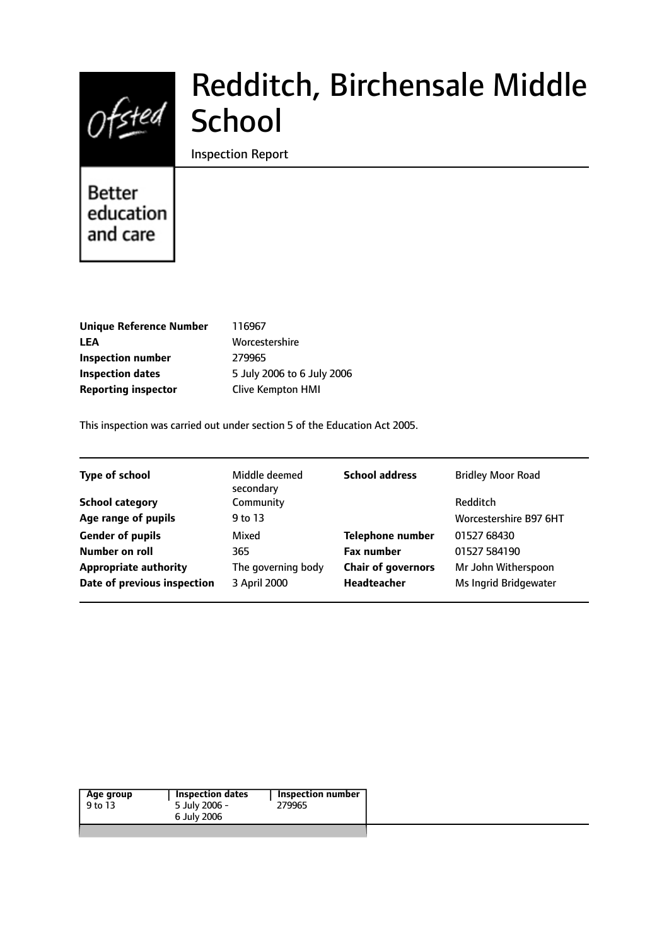

# Redditch, Birchensale Middle **School**

Inspection Report

# **Better** education and care

| <b>Unique Reference Number</b> |
|--------------------------------|
| LEA                            |
| Inspection number              |
| <b>Inspection dates</b>        |
| <b>Reporting inspector</b>     |

**Unique Reference Number** 116967 **LEA** Worcestershire **Inspection number** 279965 **Inspection dates** 5 July 2006 to 6 July 2006 **Clive Kempton HMI** 

This inspection was carried out under section 5 of the Education Act 2005.

| <b>Type of school</b><br>Middle deemed<br>secondary | <b>School address</b>     | <b>Bridley Moor Road</b> |
|-----------------------------------------------------|---------------------------|--------------------------|
| Community<br><b>School category</b>                 |                           | Redditch                 |
| Age range of pupils<br>9 to 13                      |                           | Worcestershire B97 6HT   |
| <b>Gender of pupils</b><br>Mixed                    | <b>Telephone number</b>   | 01527 68430              |
| Number on roll<br>365                               | <b>Fax number</b>         | 01527 584190             |
| <b>Appropriate authority</b><br>The governing body  | <b>Chair of governors</b> | Mr John Witherspoon      |
| Date of previous inspection<br>3 April 2000         | Headteacher               | Ms Ingrid Bridgewater    |

| Age group | Inspection number |
|-----------|-------------------|
| 9 to 13   | 279965            |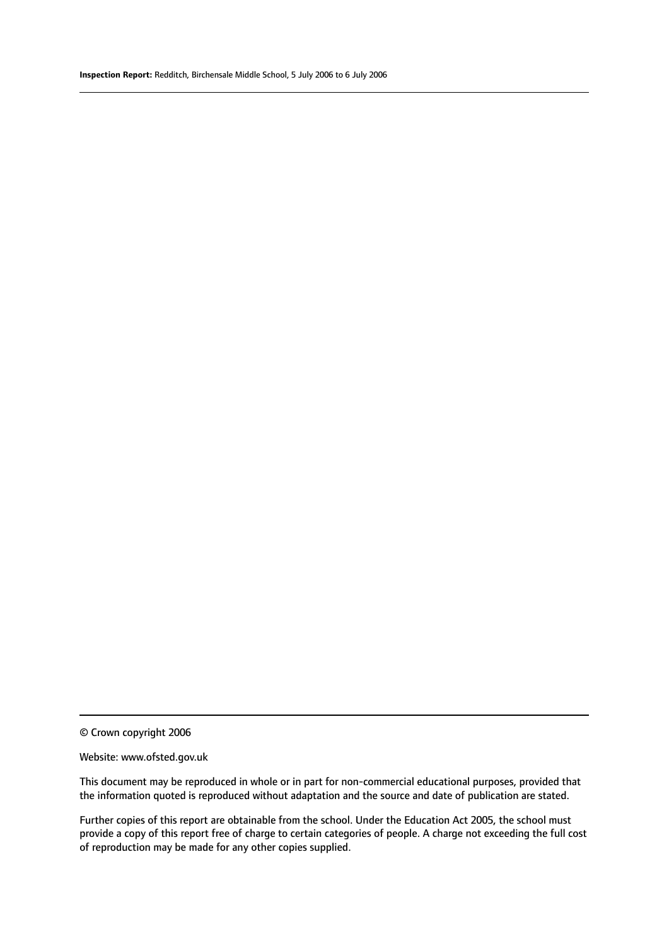© Crown copyright 2006

#### Website: www.ofsted.gov.uk

This document may be reproduced in whole or in part for non-commercial educational purposes, provided that the information quoted is reproduced without adaptation and the source and date of publication are stated.

Further copies of this report are obtainable from the school. Under the Education Act 2005, the school must provide a copy of this report free of charge to certain categories of people. A charge not exceeding the full cost of reproduction may be made for any other copies supplied.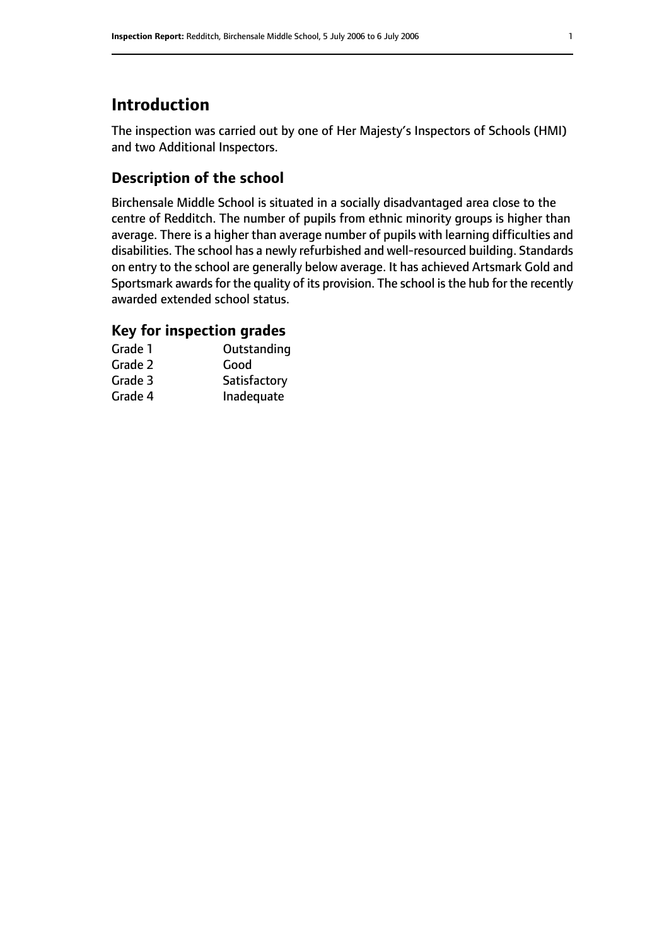# **Introduction**

The inspection was carried out by one of Her Majesty's Inspectors of Schools (HMI) and two Additional Inspectors.

#### **Description of the school**

Birchensale Middle School is situated in a socially disadvantaged area close to the centre of Redditch. The number of pupils from ethnic minority groups is higher than average. There is a higher than average number of pupils with learning difficulties and disabilities. The school has a newly refurbished and well-resourced building. Standards on entry to the school are generally below average. It has achieved Artsmark Gold and Sportsmark awards for the quality of its provision. The school is the hub for the recently awarded extended school status.

### **Key for inspection grades**

| Grade 1 | Outstanding  |
|---------|--------------|
| Grade 2 | Good         |
| Grade 3 | Satisfactory |
| Grade 4 | Inadequate   |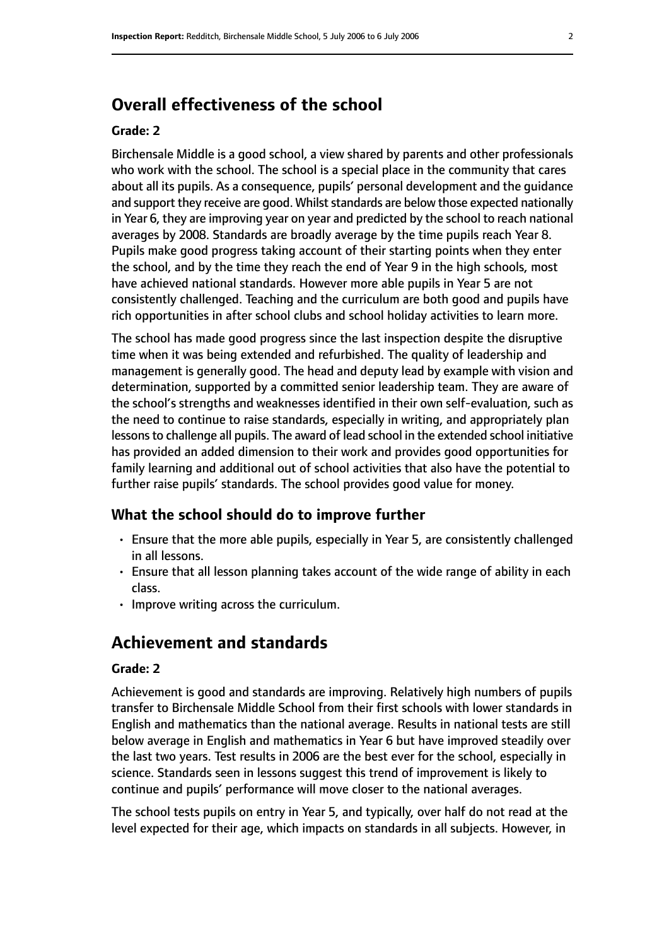# **Overall effectiveness of the school**

#### **Grade: 2**

Birchensale Middle is a good school, a view shared by parents and other professionals who work with the school. The school is a special place in the community that cares about all its pupils. As a consequence, pupils' personal development and the guidance and support they receive are good. Whilst standards are below those expected nationally in Year 6, they are improving year on year and predicted by the school to reach national averages by 2008. Standards are broadly average by the time pupils reach Year 8. Pupils make good progress taking account of their starting points when they enter the school, and by the time they reach the end of Year 9 in the high schools, most have achieved national standards. However more able pupils in Year 5 are not consistently challenged. Teaching and the curriculum are both good and pupils have rich opportunities in after school clubs and school holiday activities to learn more.

The school has made good progress since the last inspection despite the disruptive time when it was being extended and refurbished. The quality of leadership and management is generally good. The head and deputy lead by example with vision and determination, supported by a committed senior leadership team. They are aware of the school's strengths and weaknesses identified in their own self-evaluation, such as the need to continue to raise standards, especially in writing, and appropriately plan lessons to challenge all pupils. The award of lead school in the extended school initiative has provided an added dimension to their work and provides good opportunities for family learning and additional out of school activities that also have the potential to further raise pupils' standards. The school provides good value for money.

#### **What the school should do to improve further**

- Ensure that the more able pupils, especially in Year 5, are consistently challenged in all lessons.
- Ensure that all lesson planning takes account of the wide range of ability in each class.
- Improve writing across the curriculum.

# **Achievement and standards**

#### **Grade: 2**

Achievement is good and standards are improving. Relatively high numbers of pupils transfer to Birchensale Middle School from their first schools with lower standards in English and mathematics than the national average. Results in national tests are still below average in English and mathematics in Year 6 but have improved steadily over the last two years. Test results in 2006 are the best ever for the school, especially in science. Standards seen in lessons suggest this trend of improvement is likely to continue and pupils' performance will move closer to the national averages.

The school tests pupils on entry in Year 5, and typically, over half do not read at the level expected for their age, which impacts on standards in all subjects. However, in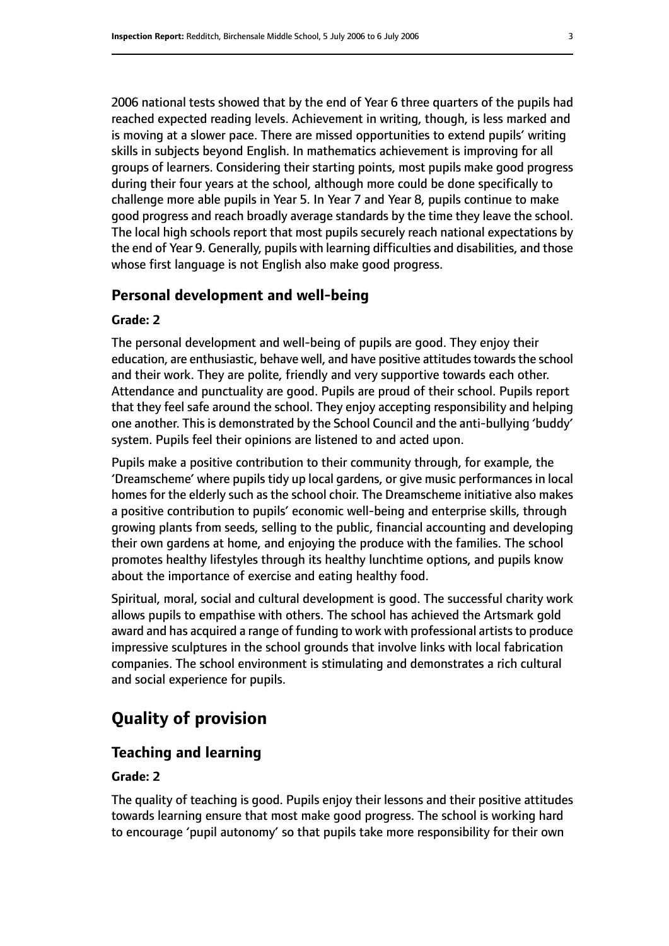2006 national tests showed that by the end of Year 6 three quarters of the pupils had reached expected reading levels. Achievement in writing, though, is less marked and is moving at a slower pace. There are missed opportunities to extend pupils' writing skills in subjects beyond English. In mathematics achievement is improving for all groups of learners. Considering their starting points, most pupils make good progress during their four years at the school, although more could be done specifically to challenge more able pupils in Year 5. In Year 7 and Year 8, pupils continue to make good progress and reach broadly average standards by the time they leave the school. The local high schools report that most pupils securely reach national expectations by the end of Year 9. Generally, pupils with learning difficulties and disabilities, and those

#### **Personal development and well-being**

whose first language is not English also make good progress.

#### **Grade: 2**

The personal development and well-being of pupils are good. They enjoy their education, are enthusiastic, behave well, and have positive attitudes towards the school and their work. They are polite, friendly and very supportive towards each other. Attendance and punctuality are good. Pupils are proud of their school. Pupils report that they feel safe around the school. They enjoy accepting responsibility and helping one another. This is demonstrated by the School Council and the anti-bullying 'buddy' system. Pupils feel their opinions are listened to and acted upon.

Pupils make a positive contribution to their community through, for example, the 'Dreamscheme' where pupils tidy up local gardens, or give music performances in local homes for the elderly such as the school choir. The Dreamscheme initiative also makes a positive contribution to pupils' economic well-being and enterprise skills, through growing plants from seeds, selling to the public, financial accounting and developing their own gardens at home, and enjoying the produce with the families. The school promotes healthy lifestyles through its healthy lunchtime options, and pupils know about the importance of exercise and eating healthy food.

Spiritual, moral, social and cultural development is good. The successful charity work allows pupils to empathise with others. The school has achieved the Artsmark gold award and has acquired a range of funding to work with professional artists to produce impressive sculptures in the school grounds that involve links with local fabrication companies. The school environment is stimulating and demonstrates a rich cultural and social experience for pupils.

# **Quality of provision**

#### **Teaching and learning**

#### **Grade: 2**

The quality of teaching is good. Pupils enjoy their lessons and their positive attitudes towards learning ensure that most make good progress. The school is working hard to encourage 'pupil autonomy' so that pupils take more responsibility for their own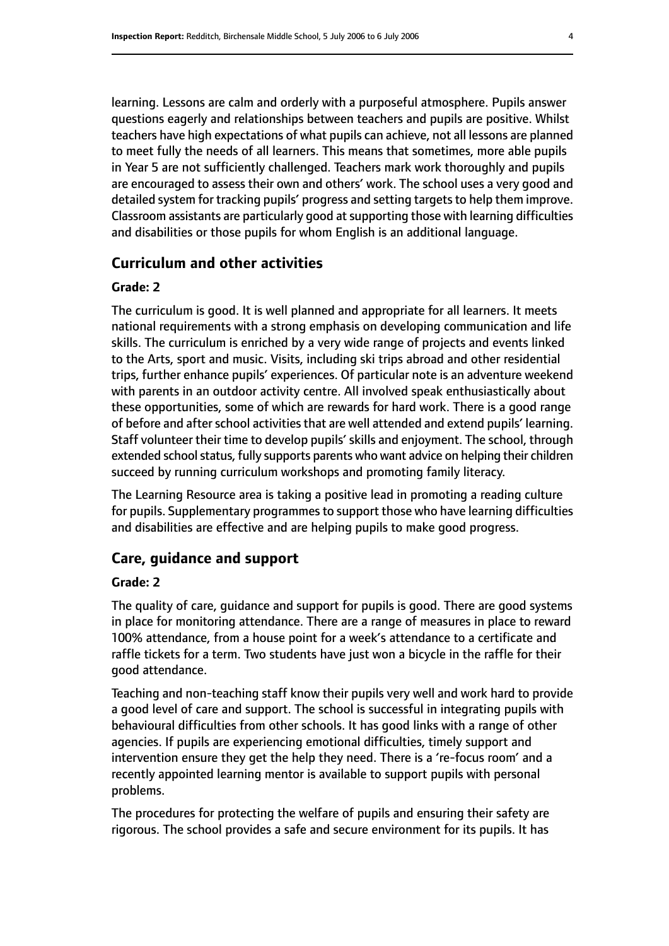learning. Lessons are calm and orderly with a purposeful atmosphere. Pupils answer questions eagerly and relationships between teachers and pupils are positive. Whilst teachers have high expectations of what pupils can achieve, not all lessons are planned to meet fully the needs of all learners. This means that sometimes, more able pupils in Year 5 are not sufficiently challenged. Teachers mark work thoroughly and pupils are encouraged to assess their own and others' work. The school uses a very good and detailed system for tracking pupils' progress and setting targets to help them improve. Classroom assistants are particularly good at supporting those with learning difficulties and disabilities or those pupils for whom English is an additional language.

#### **Curriculum and other activities**

#### **Grade: 2**

The curriculum is good. It is well planned and appropriate for all learners. It meets national requirements with a strong emphasis on developing communication and life skills. The curriculum is enriched by a very wide range of projects and events linked to the Arts, sport and music. Visits, including ski trips abroad and other residential trips, further enhance pupils' experiences. Of particular note is an adventure weekend with parents in an outdoor activity centre. All involved speak enthusiastically about these opportunities, some of which are rewards for hard work. There is a good range of before and after school activities that are well attended and extend pupils' learning. Staff volunteer their time to develop pupils' skills and enjoyment. The school, through extended school status, fully supports parents who want advice on helping their children succeed by running curriculum workshops and promoting family literacy.

The Learning Resource area is taking a positive lead in promoting a reading culture for pupils. Supplementary programmes to support those who have learning difficulties and disabilities are effective and are helping pupils to make good progress.

#### **Care, guidance and support**

#### **Grade: 2**

The quality of care, guidance and support for pupils is good. There are good systems in place for monitoring attendance. There are a range of measures in place to reward 100% attendance, from a house point for a week's attendance to a certificate and raffle tickets for a term. Two students have just won a bicycle in the raffle for their good attendance.

Teaching and non-teaching staff know their pupils very well and work hard to provide a good level of care and support. The school is successful in integrating pupils with behavioural difficulties from other schools. It has good links with a range of other agencies. If pupils are experiencing emotional difficulties, timely support and intervention ensure they get the help they need. There is a 're-focus room' and a recently appointed learning mentor is available to support pupils with personal problems.

The procedures for protecting the welfare of pupils and ensuring their safety are rigorous. The school provides a safe and secure environment for its pupils. It has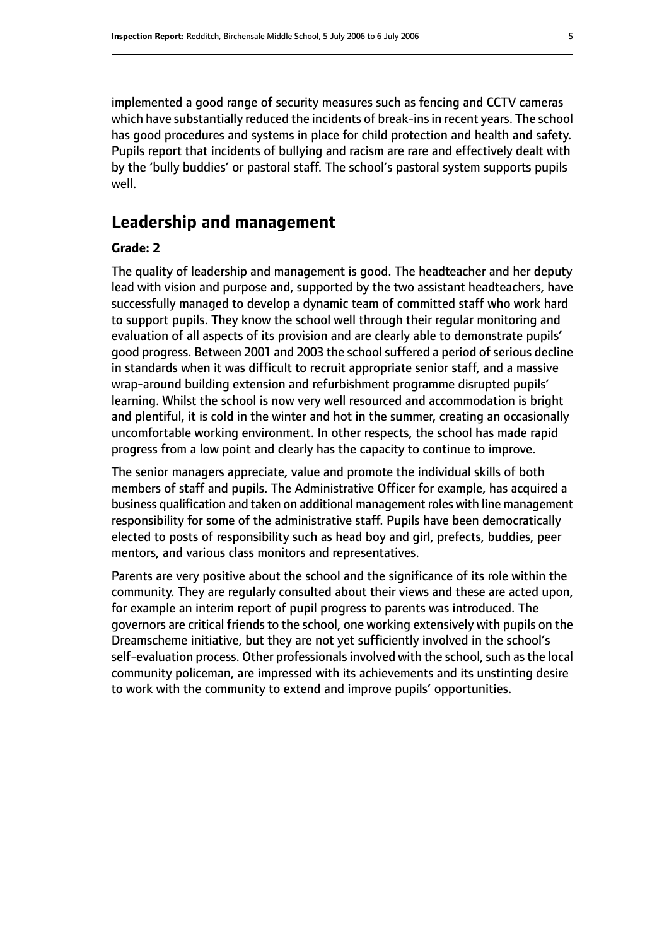implemented a good range of security measures such as fencing and CCTV cameras which have substantially reduced the incidents of break-ins in recent years. The school has good procedures and systems in place for child protection and health and safety. Pupils report that incidents of bullying and racism are rare and effectively dealt with by the 'bully buddies' or pastoral staff. The school's pastoral system supports pupils well.

#### **Leadership and management**

#### **Grade: 2**

The quality of leadership and management is good. The headteacher and her deputy lead with vision and purpose and, supported by the two assistant headteachers, have successfully managed to develop a dynamic team of committed staff who work hard to support pupils. They know the school well through their regular monitoring and evaluation of all aspects of its provision and are clearly able to demonstrate pupils' good progress. Between 2001 and 2003 the school suffered a period of serious decline in standards when it was difficult to recruit appropriate senior staff, and a massive wrap-around building extension and refurbishment programme disrupted pupils' learning. Whilst the school is now very well resourced and accommodation is bright and plentiful, it is cold in the winter and hot in the summer, creating an occasionally uncomfortable working environment. In other respects, the school has made rapid progress from a low point and clearly has the capacity to continue to improve.

The senior managers appreciate, value and promote the individual skills of both members of staff and pupils. The Administrative Officer for example, has acquired a business qualification and taken on additional management roles with line management responsibility for some of the administrative staff. Pupils have been democratically elected to posts of responsibility such as head boy and girl, prefects, buddies, peer mentors, and various class monitors and representatives.

Parents are very positive about the school and the significance of its role within the community. They are regularly consulted about their views and these are acted upon, for example an interim report of pupil progress to parents was introduced. The governors are critical friends to the school, one working extensively with pupils on the Dreamscheme initiative, but they are not yet sufficiently involved in the school's self-evaluation process. Other professionals involved with the school, such as the local community policeman, are impressed with its achievements and its unstinting desire to work with the community to extend and improve pupils' opportunities.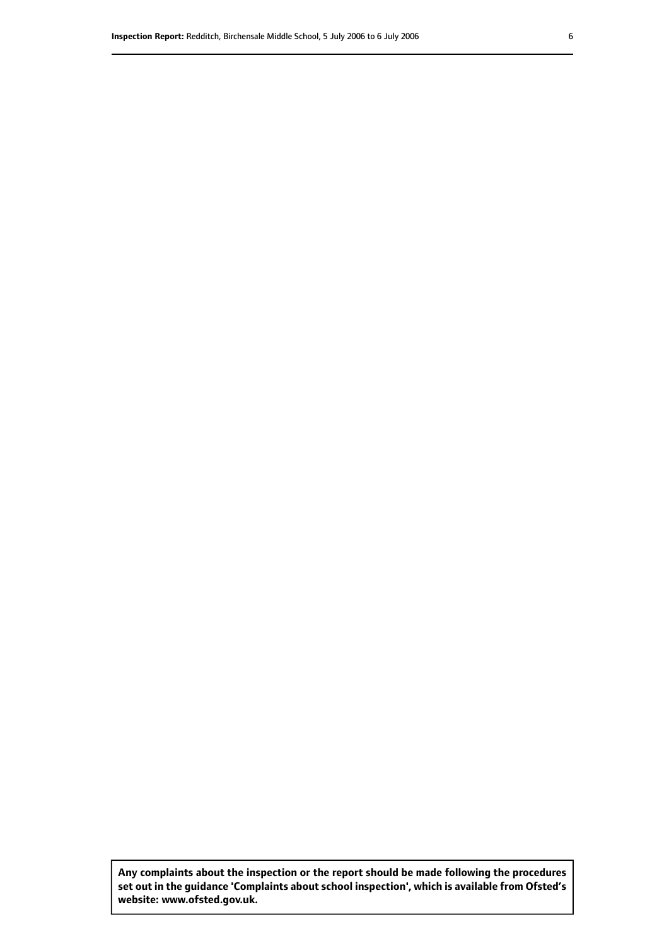**Any complaints about the inspection or the report should be made following the procedures set out inthe guidance 'Complaints about school inspection', whichis available from Ofsted's website: www.ofsted.gov.uk.**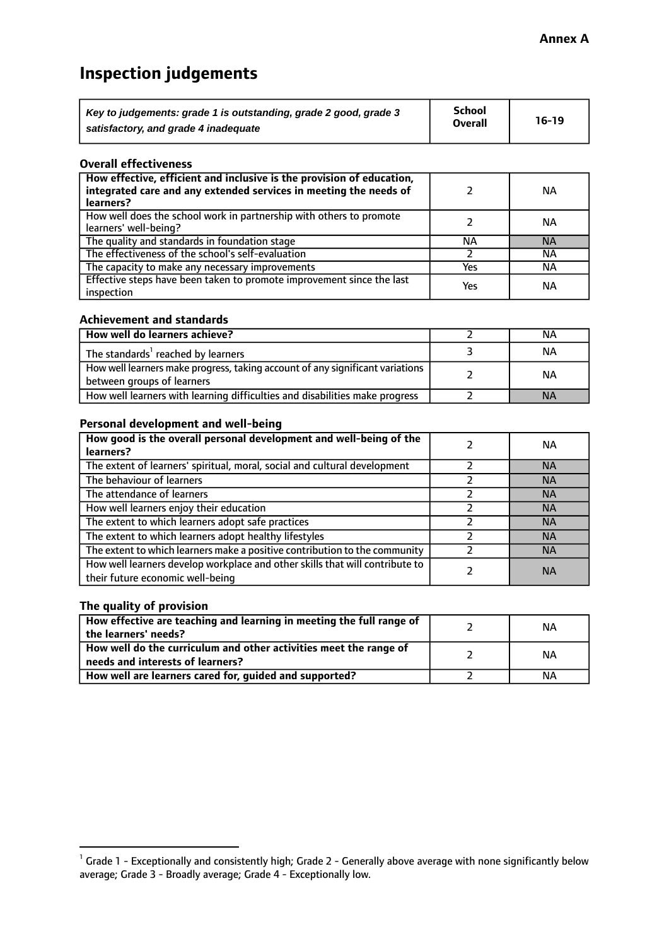# **Inspection judgements**

| Key to judgements: grade 1 is outstanding, grade 2 good, grade 3 | <b>School</b><br><b>Overall</b> | $16-19$ |
|------------------------------------------------------------------|---------------------------------|---------|
| satisfactory, and grade 4 inadequate                             |                                 |         |

#### **Overall effectiveness**

| How effective, efficient and inclusive is the provision of education,<br>integrated care and any extended services in meeting the needs of<br>learners? |     | NА        |
|---------------------------------------------------------------------------------------------------------------------------------------------------------|-----|-----------|
| How well does the school work in partnership with others to promote<br>learners' well-being?                                                            |     | NА        |
| The quality and standards in foundation stage                                                                                                           | ΝA  | <b>NA</b> |
| The effectiveness of the school's self-evaluation                                                                                                       |     | ΝA        |
| The capacity to make any necessary improvements                                                                                                         | Yes | NА        |
| Effective steps have been taken to promote improvement since the last<br>inspection                                                                     | Yes | ΝA        |

#### **Achievement and standards**

| How well do learners achieve?                                                                               | ΝA        |
|-------------------------------------------------------------------------------------------------------------|-----------|
| The standards <sup>1</sup> reached by learners                                                              | NА        |
| How well learners make progress, taking account of any significant variations<br>between groups of learners | <b>NA</b> |
| How well learners with learning difficulties and disabilities make progress                                 | <b>NA</b> |

#### **Personal development and well-being**

| How good is the overall personal development and well-being of the<br>learners?                                  | ΝA        |
|------------------------------------------------------------------------------------------------------------------|-----------|
|                                                                                                                  |           |
| The extent of learners' spiritual, moral, social and cultural development                                        | <b>NA</b> |
| The behaviour of learners                                                                                        | <b>NA</b> |
| The attendance of learners                                                                                       | <b>NA</b> |
| How well learners enjoy their education                                                                          | <b>NA</b> |
| The extent to which learners adopt safe practices                                                                | <b>NA</b> |
| The extent to which learners adopt healthy lifestyles                                                            | <b>NA</b> |
| The extent to which learners make a positive contribution to the community                                       | <b>NA</b> |
| How well learners develop workplace and other skills that will contribute to<br>their future economic well-being | <b>NA</b> |

#### **The quality of provision**

| How effective are teaching and learning in meeting the full range of<br>the learners' needs?          | ΝA |
|-------------------------------------------------------------------------------------------------------|----|
| How well do the curriculum and other activities meet the range of<br>needs and interests of learners? | ΝA |
| How well are learners cared for, guided and supported?                                                | NА |

 $^1$  Grade 1 - Exceptionally and consistently high; Grade 2 - Generally above average with none significantly below average; Grade 3 - Broadly average; Grade 4 - Exceptionally low.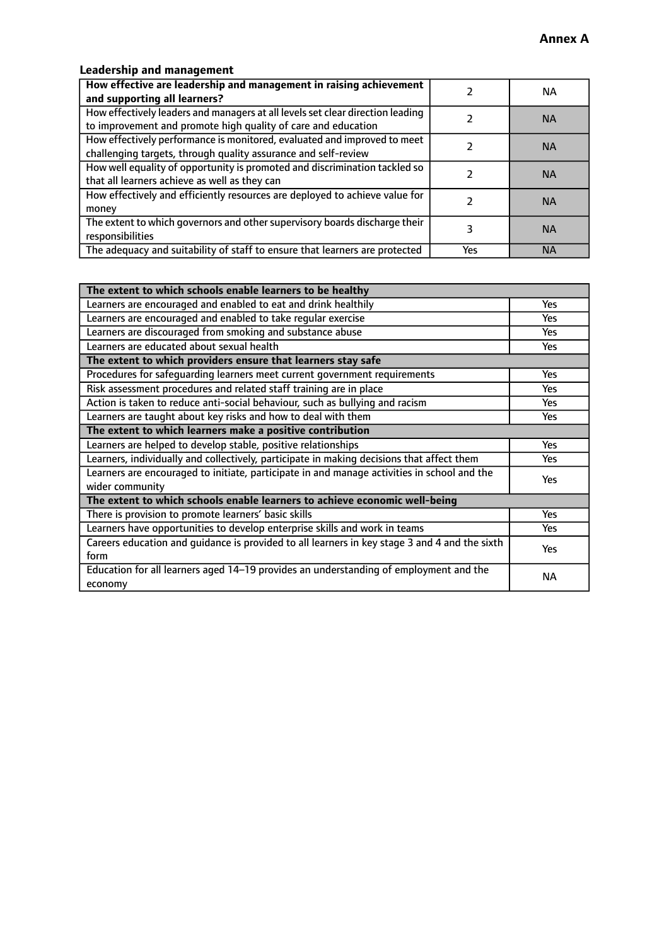### **Leadership and management**

| How effective are leadership and management in raising achievement<br>and supporting all learners?                                              |     | NA.       |
|-------------------------------------------------------------------------------------------------------------------------------------------------|-----|-----------|
| How effectively leaders and managers at all levels set clear direction leading<br>to improvement and promote high quality of care and education |     | <b>NA</b> |
| How effectively performance is monitored, evaluated and improved to meet<br>challenging targets, through quality assurance and self-review      |     | <b>NA</b> |
| How well equality of opportunity is promoted and discrimination tackled so<br>that all learners achieve as well as they can                     |     | <b>NA</b> |
| How effectively and efficiently resources are deployed to achieve value for<br>money                                                            |     | <b>NA</b> |
| The extent to which governors and other supervisory boards discharge their<br>responsibilities                                                  |     | <b>NA</b> |
| The adequacy and suitability of staff to ensure that learners are protected                                                                     | Yes | <b>NA</b> |

| The extent to which schools enable learners to be healthy                                     |            |  |
|-----------------------------------------------------------------------------------------------|------------|--|
| Learners are encouraged and enabled to eat and drink healthily                                | Yes        |  |
| Learners are encouraged and enabled to take regular exercise                                  | Yes        |  |
| Learners are discouraged from smoking and substance abuse                                     | <b>Yes</b> |  |
| Learners are educated about sexual health                                                     | <b>Yes</b> |  |
| The extent to which providers ensure that learners stay safe                                  |            |  |
| Procedures for safequarding learners meet current government requirements                     | Yes        |  |
| Risk assessment procedures and related staff training are in place                            | Yes        |  |
| Action is taken to reduce anti-social behaviour, such as bullying and racism                  | Yes        |  |
| Learners are taught about key risks and how to deal with them                                 | <b>Yes</b> |  |
| The extent to which learners make a positive contribution                                     |            |  |
| Learners are helped to develop stable, positive relationships                                 | Yes        |  |
| Learners, individually and collectively, participate in making decisions that affect them     | Yes        |  |
| Learners are encouraged to initiate, participate in and manage activities in school and the   |            |  |
| <b>Yes</b><br>wider community                                                                 |            |  |
| The extent to which schools enable learners to achieve economic well-being                    |            |  |
| There is provision to promote learners' basic skills                                          | Yes        |  |
| Learners have opportunities to develop enterprise skills and work in teams                    | Yes        |  |
| Careers education and guidance is provided to all learners in key stage 3 and 4 and the sixth | <b>Yes</b> |  |
| form                                                                                          |            |  |
| Education for all learners aged 14-19 provides an understanding of employment and the         | NА         |  |
| economy                                                                                       |            |  |